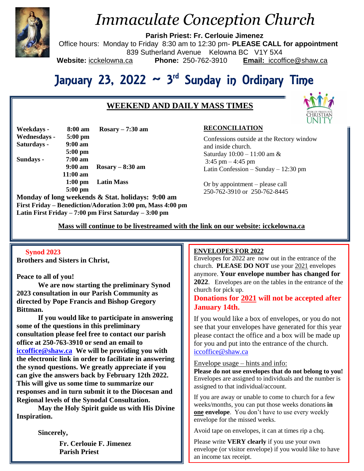

# *Immaculate Conception Church*

**Parish Priest: Fr. Cerlouie Jimenez**

Office hours: Monday to Friday 8:30 am to 12:30 pm- **PLEASE CALL for appointment** 839 Sutherland Avenue Kelowna BC V1Y 5X4

**Website:** icckelowna.ca **Phone:** 250-762-3910 **Email:** iccoffice@shaw.ca

# January 23, 2022 ~ 3<sup>rd</sup> Sunday in Ordinary Time

# **WEEKEND AND DAILY MASS TIMES**



| Weekdays -   | $8:00 \text{ am}$ | $Rosary - 7:30$ am |
|--------------|-------------------|--------------------|
| Wednesdays - | $5:00$ pm         |                    |
| Saturdays -  | $9:00 \text{ am}$ |                    |
|              | $5:00$ pm         |                    |
| Sundays -    | $7:00$ am         |                    |
|              | $9:00 \text{ am}$ | $Rosary - 8:30 am$ |
|              | $11:00$ am        |                    |
|              | $1:00$ pm         | <b>Latin Mass</b>  |
|              | $5:00$ pm         |                    |

**Monday of long weekends & Stat. holidays: 9:00 am First Friday – Benediction/Adoration 3:00 pm, Mass 4:00 pm Latin First Friday – 7:00 pm First Saturday – 3:00 pm** 

## **RECONCILIATION**

Confessions outside at the Rectory window and inside church. Saturday 10:00 – 11:00 am & 3:45 pm  $-4:45$  pm Latin Confession – Sunday – 12:30 pm

Or by appointment – please call 250-762-3910 or 250-762-8445

 **Mass will continue to be livestreamed with the link on our website: icckelowna.ca**

### **Synod 2023**

**Brothers and Sisters in Christ,**

### **Peace to all of you!**

**We are now starting the preliminary Synod 2023 consultation in our Parish Community as directed by Pope Francis and Bishop Gregory Bittman.** 

**If you would like to participate in answering some of the questions in this preliminary consultation please feel free to contact our parish office at 250-763-3910 or send an email to [iccoffice@shaw.ca](mailto:iccoffice@shaw.ca) We will be providing you with the electronic link in order to facilitate in answering the synod questions. We greatly appreciate if you can give the answers back by February 12th 2022. This will give us some time to summarize our responses and in turn submit it to the Diocesan and Regional levels of the Synodal Consultation.** 

**May the Holy Spirit guide us with His Divine Inspiration.** 

**Sincerely,**

**Fr. Cerlouie F. Jimenez Parish Priest**

#### ֺ **ENVELOPES FOR 2022**

Envelopes for  $2022$  are now out in the entrance of the church. **PLEASE DO NOT** use your 2021 envelopes anymore. **Your envelope number has changed for 2022**. Envelopes are on the tables in the entrance of the church for pick up.

## **Donations for 2021 will not be accepted after January 14th.**

If you would like a box of envelopes, or you do not see that your envelopes have generated for this year please contact the office and a box will be made up for you and put into the entrance of the church. [iccoffice@shaw.ca](mailto:iccoffice@shaw.ca)

#### Envelope usage – hints and info:

**Please do not use envelopes that do not belong to you!** Envelopes are assigned to individuals and the number is assigned to that individual/account.

If you are away or unable to come to church for a few weeks/months, you can put those weeks donations **in one envelope**. You don't have to use every weekly envelope for the missed weeks.

Avoid tape on envelopes, it can at times rip a chq.

Please write **VERY clearly** if you use your own envelope (or visitor envelope) if you would like to have an income tax receipt.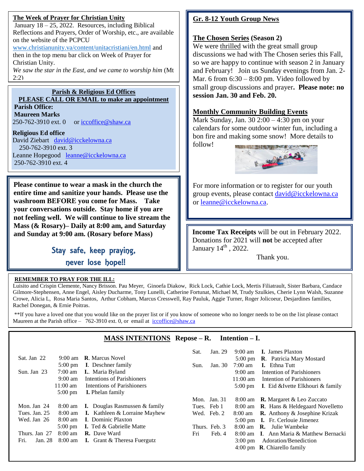## **The Week of Prayer for Christian Unity**

January  $18 - 25$ , 2022. Resources, including Biblical Reflections and Prayers, Order of Worship, etc., are available on the website of the PCPCU

[www.christianunity.va/content/unitacristiani/en.html](http://www.christianunity.va/content/unitacristiani/en.html) and then in the top menu bar click on Week of Prayer for Christian Unity.

*We saw the star in the East, and we came to worship him* (Mt 2:2)

## **Parish & Religious Ed Offices**

**PLEASE CALL OR EMAIL to make an appointment Parish Office: Maureen Marks** 

250-762-3910 ext. 0 or [iccoffice@shaw.ca](mailto:iccoffice@shaw.ca)

## **Religious Ed office**

David Ziebart [david@icckelowna.ca](mailto:david@icckelowna.ca)  250-762-3910 ext. 3 Leanne Hopegood [leanne@icckelowna.ca](mailto:leanne@icckelowna.ca) 250-762-3910 ext. 4

**Please continue to wear a mask in the church the entire time and sanitize your hands. Please use the washroom BEFORE you come for Mass. Take your conversations outside. Stay home if you are not feeling well. We will continue to live stream the Mass (& Rosary)– Daily at 8:00 am, and Saturday and Sunday at 9:00 am. (Rosary before Mass)**

> Stay safe, keep praying, never lose hope!!

## **REMEMBER TO PRAY FOR THE ILL:**

Ξ

İ

# **Gr. 8-12 Youth Group News**

# **The Chosen Series (Season 2)**

We were thrilled with the great small group discussions we had with The Chosen series this Fall, so we are happy to continue with season 2 in January and February! Join us Sunday evenings from Jan. 2- Mar. 6 from  $6:30 - 8:00$  pm. Video followed by small group discussions and prayer**. Please note: no session Jan. 30 and Feb. 20.**

# **Monthly Community Building Events**

Mark Sunday, Jan. 30 2:00 – 4:30 pm on your calendars for some outdoor winter fun, including a bon fire and making some snow! More details to follow!



For more information or to register for our youth group events, please contact [david@icckelowna.ca](mailto:david@icckelowna.ca) or [leanne@icckelowna.ca.](mailto:leanne@icckelowna.ca)

**Income Tax Receipts** will be out in February 2022. Donations for 2021 will **not** be accepted after January  $14^{\text{th}}$ , 2022.

Thank you.

Luisito and Crispin Clemente, Nancy Brisson. Pau Meyer, Ginoefa Diakow, Rick Lock, Cathie Lock, Mertis Filiatrault, Sister Barbara, Candace Gilmore-Stephensen, Anne Engel, Aisley Ducharme, Tony Lunelli, Catherine Fortunat, Michael M, Trudy Szulkies, Cherie Lynn Walsh, Suzanne Crowe, Alicia L, Rosa Maria Santos, Arthur Cobham, Marcus Cresswell, Ray Pauluk, Aggie Turner, Roger Jolicoeur, Desjardines families, Rachel Donegan, & Ernie Poitras.

\*\*If you have a loved one that you would like on the prayer list or if you know of someone who no longer needs to be on the list please contact Maureen at the Parish office - 762-3910 ext. 0, or email at iccoffice@shaw.ca

# **MASS INTENTIONS Repose – R. Intention – I.**

|                 |                    |                                         | Sat. | Jan. 29        | $9:00 \text{ am}$  | <b>I.</b> James Plaxton                         |
|-----------------|--------------------|-----------------------------------------|------|----------------|--------------------|-------------------------------------------------|
| Sat. Jan 22     | $9:00 \text{ am}$  | <b>R.</b> Marcus Novel                  |      |                |                    | 5:00 pm <b>R</b> . Patricia Mary Mostard        |
|                 | $5:00 \text{ pm}$  | <b>I.</b> Deschner family               | Sun. | Jan. 30        | $7:00 \text{ am}$  | <b>I.</b> Ethna Tutt                            |
| Sun. Jan $23$   | $7:00 \text{ am}$  | <b>I.</b> Maria Byland                  |      |                | $9:00 \text{ am}$  | Intention of Parishioners                       |
|                 | $9:00 \text{ am}$  | Intentions of Parishioners              |      |                | $11:00 \text{ am}$ | Intention of Parishioners                       |
|                 | $11:00 \text{ am}$ | Intentions of Parishioners              |      |                | $5:00 \text{ pm}$  | I. Eid & Ivette Elkhouri & family               |
|                 | $5:00 \text{ pm}$  | <b>I.</b> Phelan family                 |      |                |                    |                                                 |
|                 |                    |                                         |      | Mon. Jan. $31$ |                    | 8:00 am <b>R.</b> Margaret & Leo Zuccato        |
| Mon. Jan 24     | $8:00 \text{ am}$  | <b>I.</b> Douglas Rasmussen $\&$ family |      | Tues. Feb 1    |                    | 8:00 am <b>R</b> . Hans & Heldegaard Novelletto |
| Tues. Jan. 25   | $8:00 \text{ am}$  | <b>I.</b> Kathleen $&$ Lorraine Mayhew  |      | Wed. Feb. 2    | 8:00 am            | <b>R.</b> Anthony & Josephine Krizak            |
| Wed. Jan 26     | $8:00 \text{ am}$  | <b>I.</b> Dominic Plaxton               |      |                |                    | 5:00 pm <b>I.</b> Fr. Cerlouie Jimenez          |
|                 | $5:00 \text{ pm}$  | <b>I.</b> Ted & Gabrielle Matte         |      | Thurs. Feb. 3  | $8:00$ am          | <b>R.</b> Julie Wambeke                         |
| Thurs. Jan 27   | $8:00 \text{ am}$  | <b>R.</b> Dave Ward                     | Fri  | Feb. 4         |                    | 8:00 am I. Ann Maria & Matthew Bernacki         |
| Fri.<br>Jan. 28 | $8:00 \text{ am}$  | <b>I.</b> Grant $\&$ Theresa Fuergutz   |      |                | $3:00 \text{ pm}$  | Adoration/Benediction                           |
|                 |                    |                                         |      |                |                    | 4:00 pm $\,$ <b>R</b> . Chiarello family        |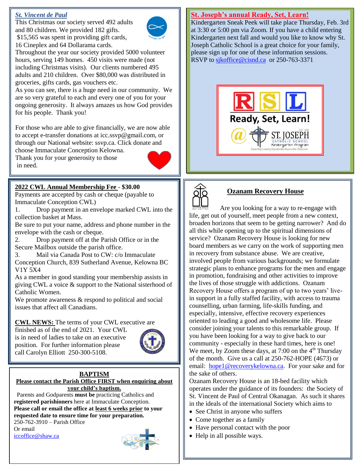## *St. Vincent de Paul*

This Christmas our society served 492 adults and 80 children. We provided 182 gifts. \$15,565 was spent in providing gift cards, 16 Cineplex and 64 Dollarama cards.



Throughout the year our society provided 5000 volunteer hours, serving 149 homes. 450 visits were made (not including Christmas visits). Our clients numbered 495 adults and 210 children. Over \$80,000 was distributed in groceries, gifts cards, gas vouchers etc.

As you can see, there is a huge need in our community. We are so very grateful to each and every one of you for your ongoing generosity. It always amazes us how God provides for his people. Thank you!

For those who are able to give financially, we are now able to accept e-transfer donations at icc.ssvp@gmail.com, or through our National website: ssvp.ca. Click donate and choose Immaculate Conception Kelowna.

Thank you for your generosity to those in need.

## **2022 CWL Annual Membership Fee** - **\$30.00**

Payments are accepted by cash or cheque (payable to Immaculate Conception CWL)

1. Drop payment in an envelope marked CWL into the collection basket at Mass.

Be sure to put your name, address and phone number in the envelope with the cash or cheque.

2. Drop payment off at the Parish Office or in the Secure Mailbox outside the parish office.

3. Mail via Canada Post to CW: c/o Immaculate Conception Church, 839 Sutherland Avenue, Kelowna BC V1Y 5X4

As a member in good standing your membership assists in giving CWL a voice & support to the National sisterhood of Catholic Women.

We promote awareness  $\&$  respond to political and social issues that affect all Canadians.

### **CWL NEWS:** The terms of your CWL executive are

finished as of the end of 2021. Your CWL is in need of ladies to take on an executive position. For further information please call Carolyn Elliott 250-300-5108.



#### **BAPTISM Please contact the Parish Office FIRST when enquiring about your child's baptism.**

 Parents and Godparents **must be** practicing Catholics and **registered parishioners** here at Immaculate Conception. **Please call or email the office at least 6 weeks prior to your requested date to ensure time for your preparation.**  250-762-3910 – Parish Office

Or email [iccoffice@shaw.ca](mailto:iccoffice@shaw.ca) 



### **St. Joseph's annual Ready, Set, Learn!**

Kindergarten Sneak Peek will take place Thursday, Feb. 3rd at 3:30 or 5:00 pm via Zoom. If you have a child entering Kindergarten next fall and would you like to know why St. Joseph Catholic School is a great choice for your family, please sign up for one of these information sessions. RSVP to sikoffice@cisnd.ca or 250-763-3371





# **Ozanam Recovery House**

 Are you looking for a way to re-engage with life, get out of yourself, meet people from a new context, broaden horizons that seem to be getting narrower? And do all this while opening up to the spiritual dimensions of service? Ozanam Recovery House is looking for new board members as we carry on the work of supporting men in recovery from substance abuse. We are creative, involved people from various backgrounds; we formulate strategic plans to enhance programs for the men and engage in promotion, fundraising and other activities to improve the lives of those struggle with addictions. Ozanam Recovery House offers a program of up to two years' livein support in a fully staffed facility, with access to trauma counselling, urban farming, life-skills funding, and especially, intensive, effective recovery experiences oriented to leading a good and wholesome life. Please consider joining your talents to this remarkable group. If you have been looking for a way to give back to our community - especially in these hard times, here is one! We meet, by Zoom these days, at  $7:00$  on the  $4<sup>th</sup>$  Thursday of the month. Give us a call at 250-762-HOPE (4673) or email: [hope1@recoverykelowna.ca.](mailto:hope1@recoverykelowna.ca) For your sake and for the sake of others.

Ozanam Recovery House is an 18-bed facility which operates under the guidance of its founders: the Society of St. Vincent de Paul of Central Okanagan. As such it shares in the ideals of the international Society which aims to

- See Christ in anyone who suffers
- Come together as a family
- Have personal contact with the poor
- Help in all possible ways.

**HELD**